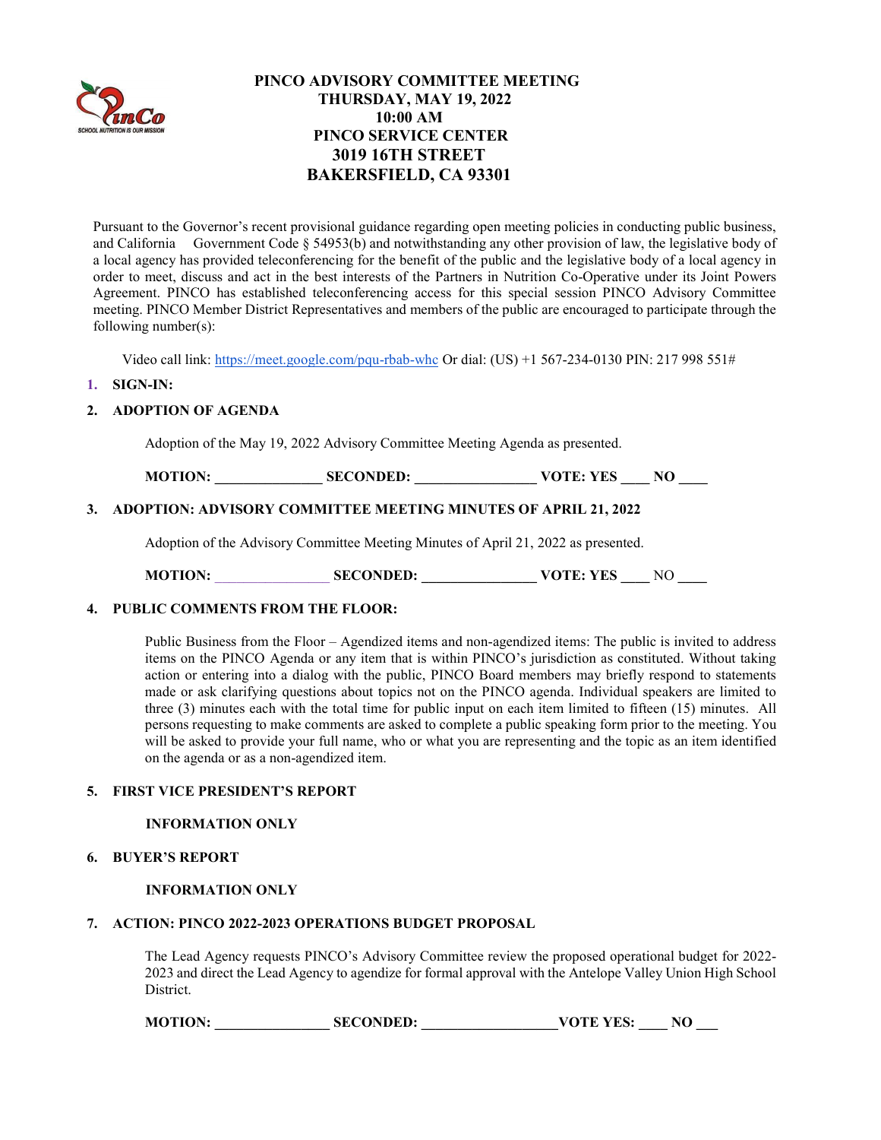

# PINCO ADVISORY COMMITTEE MEETING THURSDAY, MAY 19, 2022 10:00 AM PINCO SERVICE CENTER 3019 16TH STREET BAKERSFIELD, CA 93301

Pursuant to the Governor's recent provisional guidance regarding open meeting policies in conducting public business, and California Government Code  $\S$  54953(b) and notwithstanding any other provision of law, the legislative body of a local agency has provided teleconferencing for the benefit of the public and the legislative body of a local agency in order to meet, discuss and act in the best interests of the Partners in Nutrition Co-Operative under its Joint Powers Agreement. PINCO has established teleconferencing access for this special session PINCO Advisory Committee meeting. PINCO Member District Representatives and members of the public are encouraged to participate through the following number(s):

Video call link: https://meet.google.com/pqu-rbab-whc Or dial: (US) +1 567-234-0130 PIN: 217 998 551#

## 1. SIGN-IN:

## 2. ADOPTION OF AGENDA

Adoption of the May 19, 2022 Advisory Committee Meeting Agenda as presented.

MOTION: SECONDED: WOTE: YES NO

## 3. ADOPTION: ADVISORY COMMITTEE MEETING MINUTES OF APRIL 21, 2022

Adoption of the Advisory Committee Meeting Minutes of April 21, 2022 as presented.

MOTION: SECONDED: WOTE: YES NO

#### 4. PUBLIC COMMENTS FROM THE FLOOR:

Public Business from the Floor – Agendized items and non-agendized items: The public is invited to address items on the PINCO Agenda or any item that is within PINCO's jurisdiction as constituted. Without taking action or entering into a dialog with the public, PINCO Board members may briefly respond to statements made or ask clarifying questions about topics not on the PINCO agenda. Individual speakers are limited to three (3) minutes each with the total time for public input on each item limited to fifteen (15) minutes. All persons requesting to make comments are asked to complete a public speaking form prior to the meeting. You will be asked to provide your full name, who or what you are representing and the topic as an item identified on the agenda or as a non-agendized item.

## 5. FIRST VICE PRESIDENT'S REPORT

#### INFORMATION ONLY

#### 6. BUYER'S REPORT

#### INFORMATION ONLY

#### 7. ACTION: PINCO 2022-2023 OPERATIONS BUDGET PROPOSAL

The Lead Agency requests PINCO's Advisory Committee review the proposed operational budget for 2022- 2023 and direct the Lead Agency to agendize for formal approval with the Antelope Valley Union High School District.

| <b>MOTION:</b> | <b>SECONDED:</b> | <b>VOTE YES:</b> | NO |  |
|----------------|------------------|------------------|----|--|
|                |                  |                  |    |  |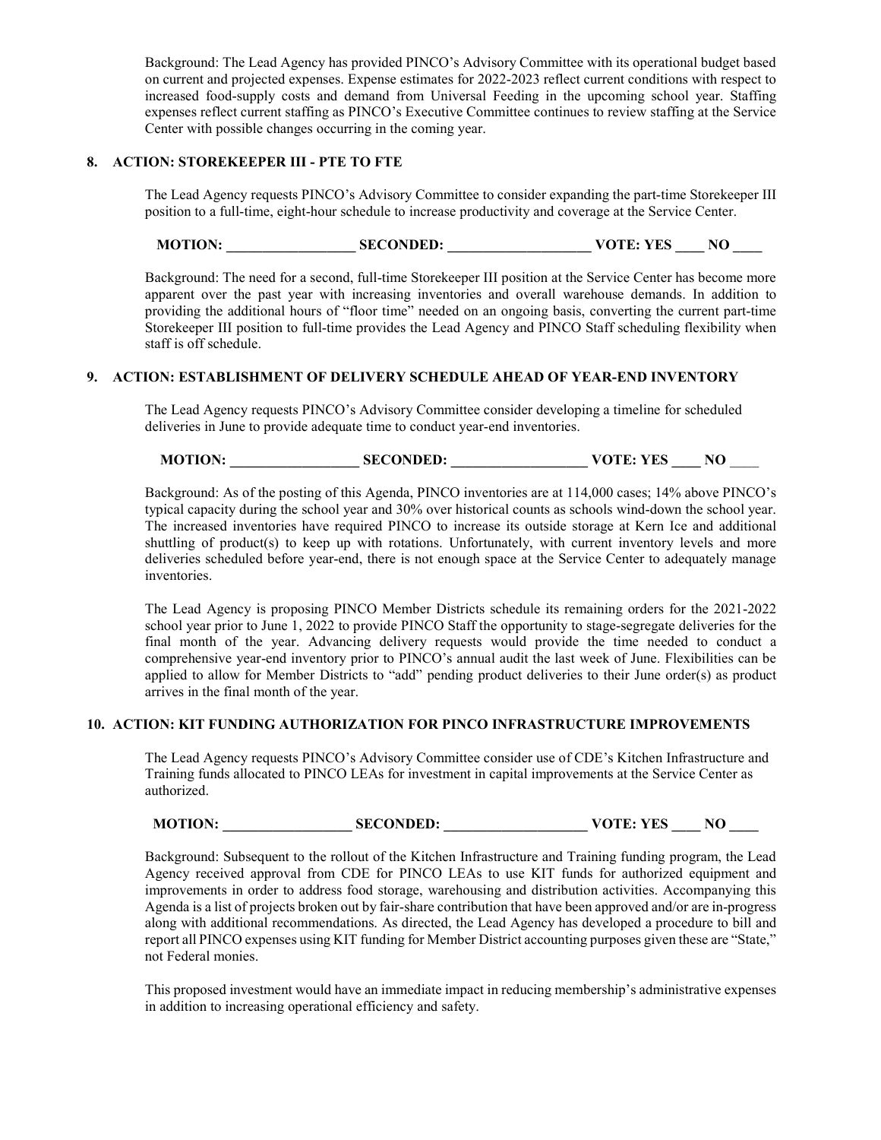Background: The Lead Agency has provided PINCO's Advisory Committee with its operational budget based on current and projected expenses. Expense estimates for 2022-2023 reflect current conditions with respect to increased food-supply costs and demand from Universal Feeding in the upcoming school year. Staffing expenses reflect current staffing as PINCO's Executive Committee continues to review staffing at the Service Center with possible changes occurring in the coming year.

## 8. ACTION: STOREKEEPER III - PTE TO FTE

The Lead Agency requests PINCO's Advisory Committee to consider expanding the part-time Storekeeper III position to a full-time, eight-hour schedule to increase productivity and coverage at the Service Center.

MOTION: \_\_\_\_\_\_\_\_\_\_\_\_\_\_\_\_\_\_ SECONDED: \_\_\_\_\_\_\_\_\_\_\_\_\_\_\_\_\_\_\_\_ VOTE: YES \_\_\_\_ NO \_\_\_\_

Background: The need for a second, full-time Storekeeper III position at the Service Center has become more apparent over the past year with increasing inventories and overall warehouse demands. In addition to providing the additional hours of "floor time" needed on an ongoing basis, converting the current part-time Storekeeper III position to full-time provides the Lead Agency and PINCO Staff scheduling flexibility when staff is off schedule.

## 9. ACTION: ESTABLISHMENT OF DELIVERY SCHEDULE AHEAD OF YEAR-END INVENTORY

The Lead Agency requests PINCO's Advisory Committee consider developing a timeline for scheduled deliveries in June to provide adequate time to conduct year-end inventories.

| <b>MOTION:</b> | <b>SECONDED:</b><br>the contract of the contract of the contract of the contract of the contract of | NC<br><b>YES</b><br>VOTE:<br>_____ |  |
|----------------|-----------------------------------------------------------------------------------------------------|------------------------------------|--|
|                |                                                                                                     |                                    |  |

Background: As of the posting of this Agenda, PINCO inventories are at 114,000 cases; 14% above PINCO's typical capacity during the school year and 30% over historical counts as schools wind-down the school year. The increased inventories have required PINCO to increase its outside storage at Kern Ice and additional shuttling of product(s) to keep up with rotations. Unfortunately, with current inventory levels and more deliveries scheduled before year-end, there is not enough space at the Service Center to adequately manage inventories.

The Lead Agency is proposing PINCO Member Districts schedule its remaining orders for the 2021-2022 school year prior to June 1, 2022 to provide PINCO Staff the opportunity to stage-segregate deliveries for the final month of the year. Advancing delivery requests would provide the time needed to conduct a comprehensive year-end inventory prior to PINCO's annual audit the last week of June. Flexibilities can be applied to allow for Member Districts to "add" pending product deliveries to their June order(s) as product arrives in the final month of the year.

#### 10. ACTION: KIT FUNDING AUTHORIZATION FOR PINCO INFRASTRUCTURE IMPROVEMENTS

The Lead Agency requests PINCO's Advisory Committee consider use of CDE's Kitchen Infrastructure and Training funds allocated to PINCO LEAs for investment in capital improvements at the Service Center as authorized.

|  | <b>MOTION:</b> |  | <b>SECONDED:</b> | <b>VOTE: YES</b> | NO |
|--|----------------|--|------------------|------------------|----|
|--|----------------|--|------------------|------------------|----|

Background: Subsequent to the rollout of the Kitchen Infrastructure and Training funding program, the Lead Agency received approval from CDE for PINCO LEAs to use KIT funds for authorized equipment and improvements in order to address food storage, warehousing and distribution activities. Accompanying this Agenda is a list of projects broken out by fair-share contribution that have been approved and/or are in-progress along with additional recommendations. As directed, the Lead Agency has developed a procedure to bill and report all PINCO expenses using KIT funding for Member District accounting purposes given these are "State," not Federal monies.

This proposed investment would have an immediate impact in reducing membership's administrative expenses in addition to increasing operational efficiency and safety.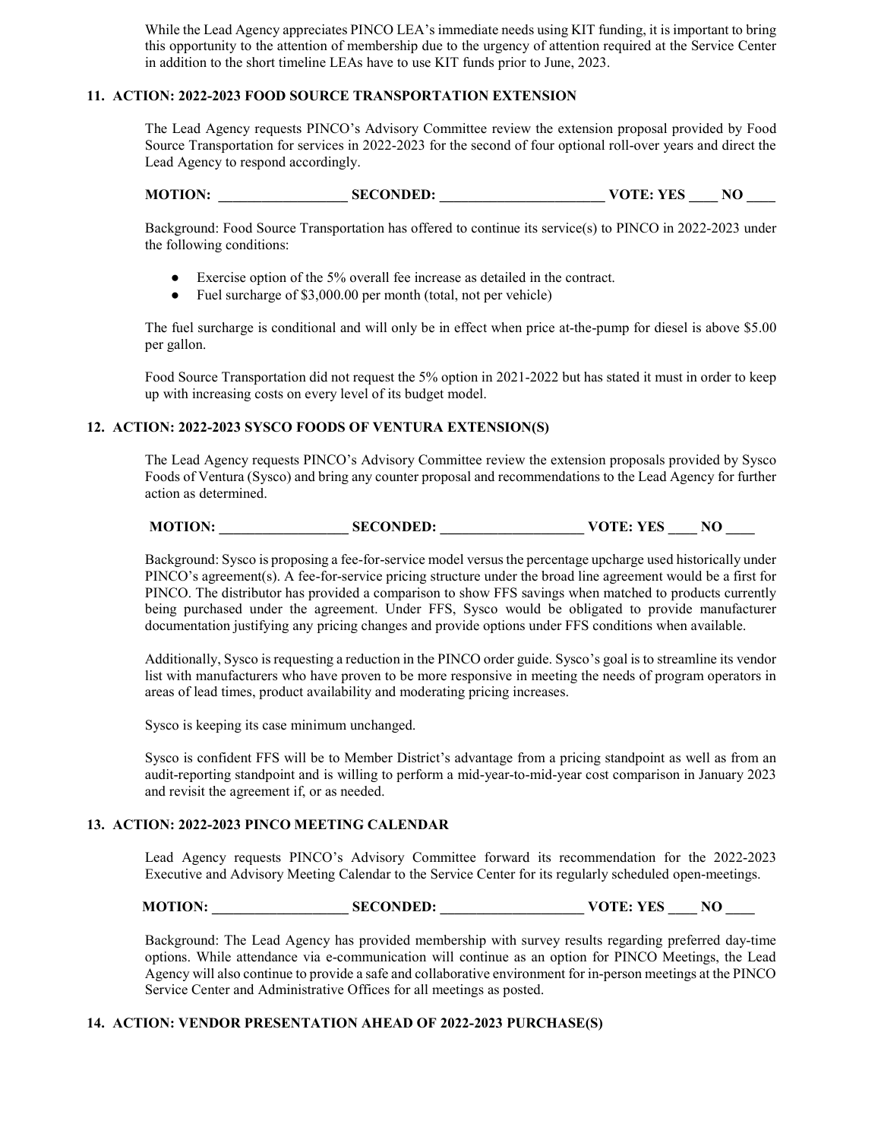While the Lead Agency appreciates PINCO LEA's immediate needs using KIT funding, it is important to bring this opportunity to the attention of membership due to the urgency of attention required at the Service Center in addition to the short timeline LEAs have to use KIT funds prior to June, 2023.

## 11. ACTION: 2022-2023 FOOD SOURCE TRANSPORTATION EXTENSION

The Lead Agency requests PINCO's Advisory Committee review the extension proposal provided by Food Source Transportation for services in 2022-2023 for the second of four optional roll-over years and direct the Lead Agency to respond accordingly.

| <b>MOTION:</b> | <b>SECONDED:</b> | <b>VOTE: YES</b> |  |
|----------------|------------------|------------------|--|
|                |                  |                  |  |

Background: Food Source Transportation has offered to continue its service(s) to PINCO in 2022-2023 under the following conditions:

- Exercise option of the 5% overall fee increase as detailed in the contract.
- Fuel surcharge of \$3,000.00 per month (total, not per vehicle)

The fuel surcharge is conditional and will only be in effect when price at-the-pump for diesel is above \$5.00 per gallon.

Food Source Transportation did not request the 5% option in 2021-2022 but has stated it must in order to keep up with increasing costs on every level of its budget model.

## 12. ACTION: 2022-2023 SYSCO FOODS OF VENTURA EXTENSION(S)

The Lead Agency requests PINCO's Advisory Committee review the extension proposals provided by Sysco Foods of Ventura (Sysco) and bring any counter proposal and recommendations to the Lead Agency for further action as determined.

## MOTION: SECONDED: WOTE: YES NO

Background: Sysco is proposing a fee-for-service model versus the percentage upcharge used historically under PINCO's agreement(s). A fee-for-service pricing structure under the broad line agreement would be a first for PINCO. The distributor has provided a comparison to show FFS savings when matched to products currently being purchased under the agreement. Under FFS, Sysco would be obligated to provide manufacturer documentation justifying any pricing changes and provide options under FFS conditions when available.

Additionally, Sysco is requesting a reduction in the PINCO order guide. Sysco's goal is to streamline its vendor list with manufacturers who have proven to be more responsive in meeting the needs of program operators in areas of lead times, product availability and moderating pricing increases.

Sysco is keeping its case minimum unchanged.

Sysco is confident FFS will be to Member District's advantage from a pricing standpoint as well as from an audit-reporting standpoint and is willing to perform a mid-year-to-mid-year cost comparison in January 2023 and revisit the agreement if, or as needed.

## 13. ACTION: 2022-2023 PINCO MEETING CALENDAR

Lead Agency requests PINCO's Advisory Committee forward its recommendation for the 2022-2023 Executive and Advisory Meeting Calendar to the Service Center for its regularly scheduled open-meetings.

## MOTION: SECONDED: WOTE: YES NO

Background: The Lead Agency has provided membership with survey results regarding preferred day-time options. While attendance via e-communication will continue as an option for PINCO Meetings, the Lead Agency will also continue to provide a safe and collaborative environment for in-person meetings at the PINCO Service Center and Administrative Offices for all meetings as posted.

## 14. ACTION: VENDOR PRESENTATION AHEAD OF 2022-2023 PURCHASE(S)